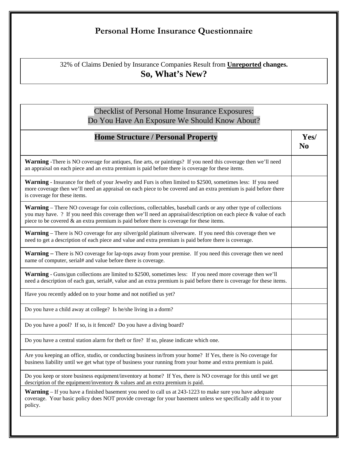## **Personal Home Insurance Questionnaire**

32% of Claims Denied by Insurance Companies Result from **Unreported changes. So, What's New?** 

## Checklist of Personal Home Insurance Exposures: Do You Have An Exposure We Should Know About?

| <b>Home Structure / Personal Property</b>                                                                                                                                                                                                                                                                                                 | Yes/<br>N <sub>0</sub> |
|-------------------------------------------------------------------------------------------------------------------------------------------------------------------------------------------------------------------------------------------------------------------------------------------------------------------------------------------|------------------------|
| <b>Warning</b> -There is NO coverage for antiques, fine arts, or paintings? If you need this coverage then we'll need<br>an appraisal on each piece and an extra premium is paid before there is coverage for these items.                                                                                                                |                        |
| <b>Warning</b> - Insurance for theft of your Jewelry and Furs is often limited to \$2500, sometimes less: If you need<br>more coverage then we'll need an appraisal on each piece to be covered and an extra premium is paid before there<br>is coverage for these items.                                                                 |                        |
| <b>Warning</b> – There NO coverage for coin collections, collectables, baseball cards or any other type of collections<br>you may have. ? If you need this coverage then we'll need an appraisal/description on each piece & value of each<br>piece to be covered $\&$ an extra premium is paid before there is coverage for these items. |                        |
| <b>Warning</b> – There is NO coverage for any silver/gold platinum silverware. If you need this coverage then we<br>need to get a description of each piece and value and extra premium is paid before there is coverage.                                                                                                                 |                        |
| <b>Warning</b> – There is NO coverage for lap-tops away from your premise. If you need this coverage then we need<br>name of computer, serial# and value before there is coverage.                                                                                                                                                        |                        |
| Warning - Guns/gun collections are limited to \$2500, sometimes less: If you need more coverage then we'll<br>need a description of each gun, serial#, value and an extra premium is paid before there is coverage for these items.                                                                                                       |                        |
| Have you recently added on to your home and not notified us yet?                                                                                                                                                                                                                                                                          |                        |
| Do you have a child away at college? Is he/she living in a dorm?                                                                                                                                                                                                                                                                          |                        |
| Do you have a pool? If so, is it fenced? Do you have a diving board?                                                                                                                                                                                                                                                                      |                        |
| Do you have a central station alarm for theft or fire? If so, please indicate which one.                                                                                                                                                                                                                                                  |                        |
| Are you keeping an office, studio, or conducting business in/from your home? If Yes, there is No coverage for<br>business liability until we get what type of business your running from your home and extra premium is paid.                                                                                                             |                        |
| Do you keep or store business equipment/inventory at home? If Yes, there is NO coverage for this until we get<br>description of the equipment/inventory & values and an extra premium is paid.                                                                                                                                            |                        |
| <b>Warning</b> – If you have a finished basement you need to call us at 243-1223 to make sure you have adequate<br>coverage. Your basic policy does NOT provide coverage for your basement unless we specifically add it to your<br>policy.                                                                                               |                        |